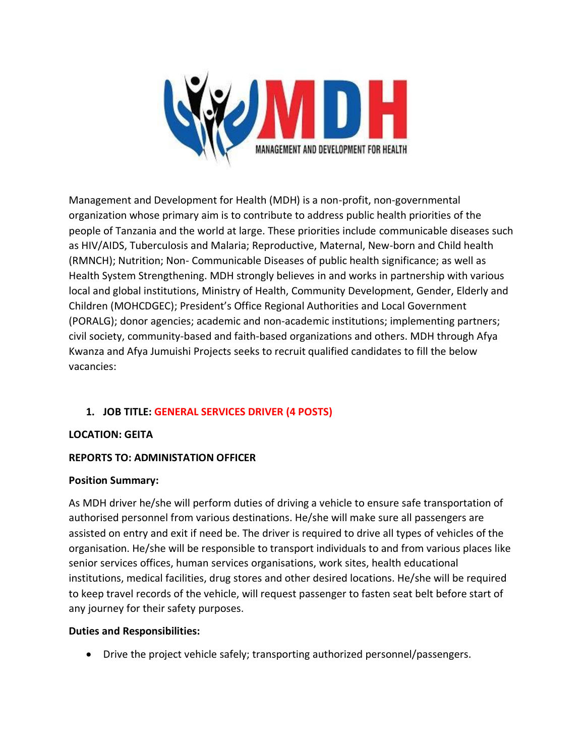

Management and Development for Health (MDH) is a non-profit, non-governmental organization whose primary aim is to contribute to address public health priorities of the people of Tanzania and the world at large. These priorities include communicable diseases such as HIV/AIDS, Tuberculosis and Malaria; Reproductive, Maternal, New-born and Child health (RMNCH); Nutrition; Non- Communicable Diseases of public health significance; as well as Health System Strengthening. MDH strongly believes in and works in partnership with various local and global institutions, Ministry of Health, Community Development, Gender, Elderly and Children (MOHCDGEC); President's Office Regional Authorities and Local Government (PORALG); donor agencies; academic and non-academic institutions; implementing partners; civil society, community-based and faith-based organizations and others. MDH through Afya Kwanza and Afya Jumuishi Projects seeks to recruit qualified candidates to fill the below vacancies:

## **1. JOB TITLE: GENERAL SERVICES DRIVER (4 POSTS)**

## **LOCATION: GEITA**

## **REPORTS TO: ADMINISTATION OFFICER**

#### **Position Summary:**

As MDH driver he/she will perform duties of driving a vehicle to ensure safe transportation of authorised personnel from various destinations. He/she will make sure all passengers are assisted on entry and exit if need be. The driver is required to drive all types of vehicles of the organisation. He/she will be responsible to transport individuals to and from various places like senior services offices, human services organisations, work sites, health educational institutions, medical facilities, drug stores and other desired locations. He/she will be required to keep travel records of the vehicle, will request passenger to fasten seat belt before start of any journey for their safety purposes.

#### **Duties and Responsibilities:**

• Drive the project vehicle safely; transporting authorized personnel/passengers.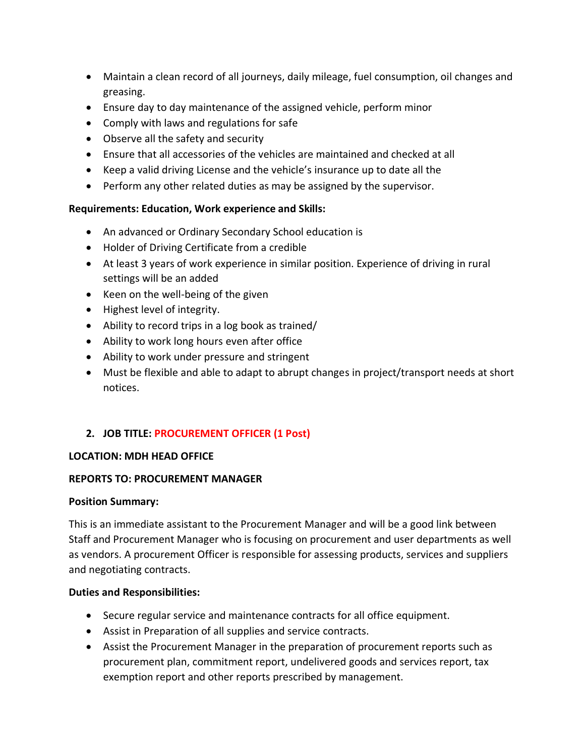- Maintain a clean record of all journeys, daily mileage, fuel consumption, oil changes and greasing.
- Ensure day to day maintenance of the assigned vehicle, perform minor
- Comply with laws and regulations for safe
- Observe all the safety and security
- Ensure that all accessories of the vehicles are maintained and checked at all
- Keep a valid driving License and the vehicle's insurance up to date all the
- Perform any other related duties as may be assigned by the supervisor.

### **Requirements: Education, Work experience and Skills:**

- An advanced or Ordinary Secondary School education is
- Holder of Driving Certificate from a credible
- At least 3 years of work experience in similar position. Experience of driving in rural settings will be an added
- Keen on the well-being of the given
- Highest level of integrity.
- Ability to record trips in a log book as trained/
- Ability to work long hours even after office
- Ability to work under pressure and stringent
- Must be flexible and able to adapt to abrupt changes in project/transport needs at short notices.

## **2. JOB TITLE: PROCUREMENT OFFICER (1 Post)**

#### **LOCATION: MDH HEAD OFFICE**

#### **REPORTS TO: PROCUREMENT MANAGER**

#### **Position Summary:**

This is an immediate assistant to the Procurement Manager and will be a good link between Staff and Procurement Manager who is focusing on procurement and user departments as well as vendors. A procurement Officer is responsible for assessing products, services and suppliers and negotiating contracts.

#### **Duties and Responsibilities:**

- Secure regular service and maintenance contracts for all office equipment.
- Assist in Preparation of all supplies and service contracts.
- Assist the Procurement Manager in the preparation of procurement reports such as procurement plan, commitment report, undelivered goods and services report, tax exemption report and other reports prescribed by management.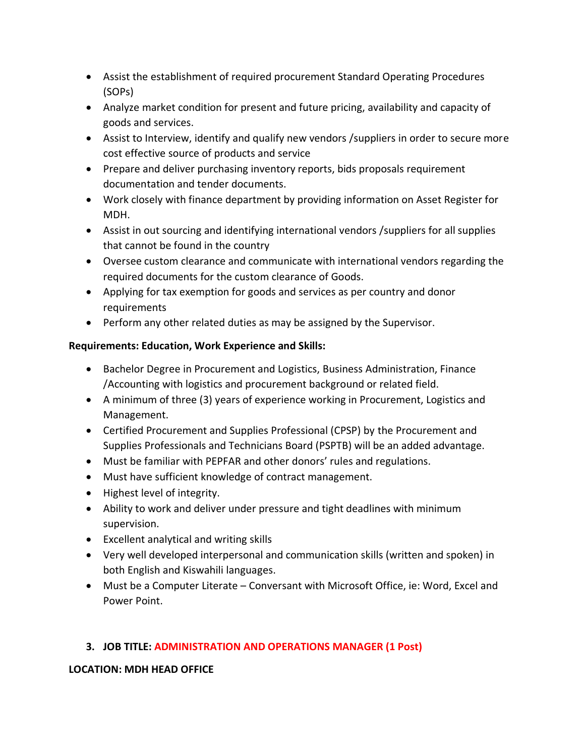- Assist the establishment of required procurement Standard Operating Procedures (SOPs)
- Analyze market condition for present and future pricing, availability and capacity of goods and services.
- Assist to Interview, identify and qualify new vendors / suppliers in order to secure more cost effective source of products and service
- Prepare and deliver purchasing inventory reports, bids proposals requirement documentation and tender documents.
- Work closely with finance department by providing information on Asset Register for MDH.
- Assist in out sourcing and identifying international vendors /suppliers for all supplies that cannot be found in the country
- Oversee custom clearance and communicate with international vendors regarding the required documents for the custom clearance of Goods.
- Applying for tax exemption for goods and services as per country and donor requirements
- Perform any other related duties as may be assigned by the Supervisor.

## **Requirements: Education, Work Experience and Skills:**

- Bachelor Degree in Procurement and Logistics, Business Administration, Finance /Accounting with logistics and procurement background or related field.
- A minimum of three (3) years of experience working in Procurement, Logistics and Management.
- Certified Procurement and Supplies Professional (CPSP) by the Procurement and Supplies Professionals and Technicians Board (PSPTB) will be an added advantage.
- Must be familiar with PEPFAR and other donors' rules and regulations.
- Must have sufficient knowledge of contract management.
- Highest level of integrity.
- Ability to work and deliver under pressure and tight deadlines with minimum supervision.
- Excellent analytical and writing skills
- Very well developed interpersonal and communication skills (written and spoken) in both English and Kiswahili languages.
- Must be a Computer Literate Conversant with Microsoft Office, ie: Word, Excel and Power Point.

# **3. JOB TITLE: ADMINISTRATION AND OPERATIONS MANAGER (1 Post)**

## **LOCATION: MDH HEAD OFFICE**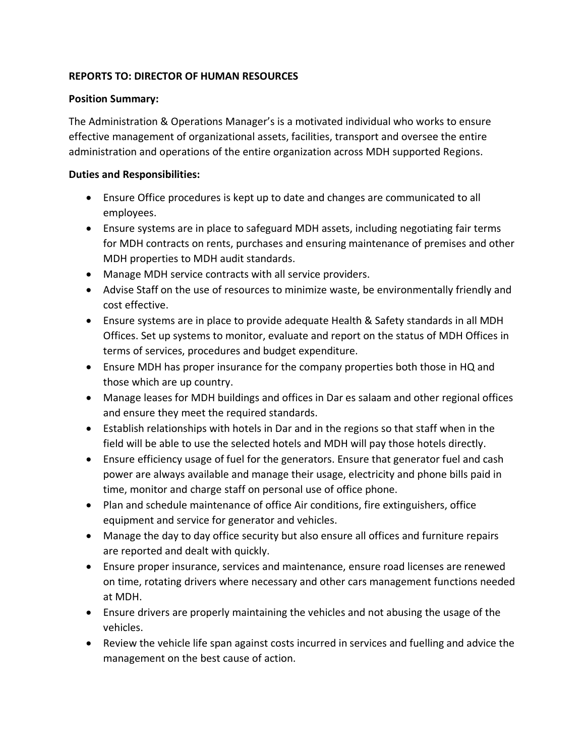### **REPORTS TO: DIRECTOR OF HUMAN RESOURCES**

#### **Position Summary:**

The Administration & Operations Manager's is a motivated individual who works to ensure effective management of organizational assets, facilities, transport and oversee the entire administration and operations of the entire organization across MDH supported Regions.

#### **Duties and Responsibilities:**

- Ensure Office procedures is kept up to date and changes are communicated to all employees.
- Ensure systems are in place to safeguard MDH assets, including negotiating fair terms for MDH contracts on rents, purchases and ensuring maintenance of premises and other MDH properties to MDH audit standards.
- Manage MDH service contracts with all service providers.
- Advise Staff on the use of resources to minimize waste, be environmentally friendly and cost effective.
- Ensure systems are in place to provide adequate Health & Safety standards in all MDH Offices. Set up systems to monitor, evaluate and report on the status of MDH Offices in terms of services, procedures and budget expenditure.
- Ensure MDH has proper insurance for the company properties both those in HQ and those which are up country.
- Manage leases for MDH buildings and offices in Dar es salaam and other regional offices and ensure they meet the required standards.
- Establish relationships with hotels in Dar and in the regions so that staff when in the field will be able to use the selected hotels and MDH will pay those hotels directly.
- Ensure efficiency usage of fuel for the generators. Ensure that generator fuel and cash power are always available and manage their usage, electricity and phone bills paid in time, monitor and charge staff on personal use of office phone.
- Plan and schedule maintenance of office Air conditions, fire extinguishers, office equipment and service for generator and vehicles.
- Manage the day to day office security but also ensure all offices and furniture repairs are reported and dealt with quickly.
- Ensure proper insurance, services and maintenance, ensure road licenses are renewed on time, rotating drivers where necessary and other cars management functions needed at MDH.
- Ensure drivers are properly maintaining the vehicles and not abusing the usage of the vehicles.
- Review the vehicle life span against costs incurred in services and fuelling and advice the management on the best cause of action.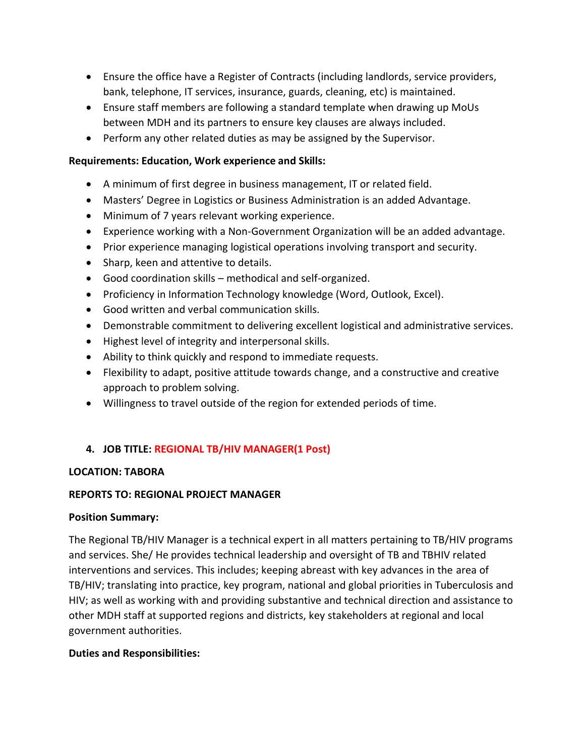- Ensure the office have a Register of Contracts (including landlords, service providers, bank, telephone, IT services, insurance, guards, cleaning, etc) is maintained.
- Ensure staff members are following a standard template when drawing up MoUs between MDH and its partners to ensure key clauses are always included.
- Perform any other related duties as may be assigned by the Supervisor.

## **Requirements: Education, Work experience and Skills:**

- A minimum of first degree in business management, IT or related field.
- Masters' Degree in Logistics or Business Administration is an added Advantage.
- Minimum of 7 years relevant working experience.
- Experience working with a Non-Government Organization will be an added advantage.
- Prior experience managing logistical operations involving transport and security.
- Sharp, keen and attentive to details.
- Good coordination skills methodical and self-organized.
- Proficiency in Information Technology knowledge (Word, Outlook, Excel).
- Good written and verbal communication skills.
- Demonstrable commitment to delivering excellent logistical and administrative services.
- Highest level of integrity and interpersonal skills.
- Ability to think quickly and respond to immediate requests.
- Flexibility to adapt, positive attitude towards change, and a constructive and creative approach to problem solving.
- Willingness to travel outside of the region for extended periods of time.

## **4. JOB TITLE: REGIONAL TB/HIV MANAGER(1 Post)**

## **LOCATION: TABORA**

## **REPORTS TO: REGIONAL PROJECT MANAGER**

## **Position Summary:**

The Regional TB/HIV Manager is a technical expert in all matters pertaining to TB/HIV programs and services. She/ He provides technical leadership and oversight of TB and TBHIV related interventions and services. This includes; keeping abreast with key advances in the area of TB/HIV; translating into practice, key program, national and global priorities in Tuberculosis and HIV; as well as working with and providing substantive and technical direction and assistance to other MDH staff at supported regions and districts, key stakeholders at regional and local government authorities.

## **Duties and Responsibilities:**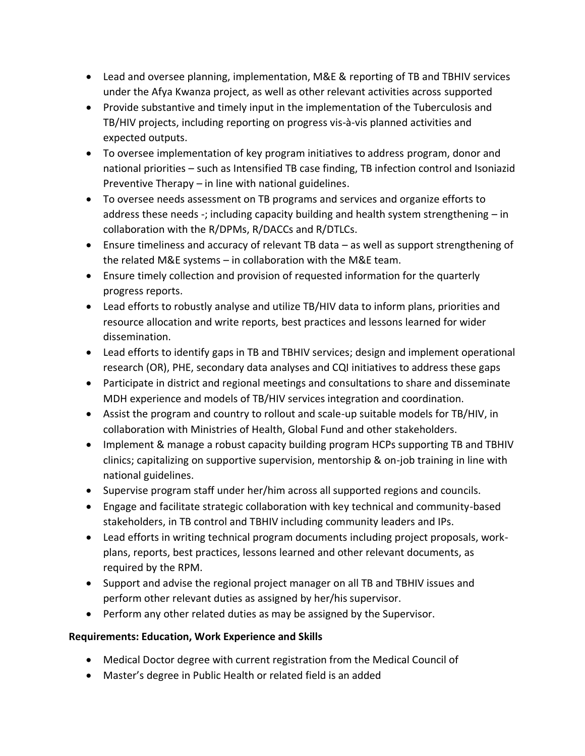- Lead and oversee planning, implementation, M&E & reporting of TB and TBHIV services under the Afya Kwanza project, as well as other relevant activities across supported
- Provide substantive and timely input in the implementation of the Tuberculosis and TB/HIV projects, including reporting on progress vis-à-vis planned activities and expected outputs.
- To oversee implementation of key program initiatives to address program, donor and national priorities – such as Intensified TB case finding, TB infection control and Isoniazid Preventive Therapy – in line with national guidelines.
- To oversee needs assessment on TB programs and services and organize efforts to address these needs -; including capacity building and health system strengthening – in collaboration with the R/DPMs, R/DACCs and R/DTLCs.
- Ensure timeliness and accuracy of relevant TB data as well as support strengthening of the related M&E systems – in collaboration with the M&E team.
- Ensure timely collection and provision of requested information for the quarterly progress reports.
- Lead efforts to robustly analyse and utilize TB/HIV data to inform plans, priorities and resource allocation and write reports, best practices and lessons learned for wider dissemination.
- Lead efforts to identify gaps in TB and TBHIV services; design and implement operational research (OR), PHE, secondary data analyses and CQI initiatives to address these gaps
- Participate in district and regional meetings and consultations to share and disseminate MDH experience and models of TB/HIV services integration and coordination.
- Assist the program and country to rollout and scale-up suitable models for TB/HIV, in collaboration with Ministries of Health, Global Fund and other stakeholders.
- Implement & manage a robust capacity building program HCPs supporting TB and TBHIV clinics; capitalizing on supportive supervision, mentorship & on-job training in line with national guidelines.
- Supervise program staff under her/him across all supported regions and councils.
- Engage and facilitate strategic collaboration with key technical and community-based stakeholders, in TB control and TBHIV including community leaders and IPs.
- Lead efforts in writing technical program documents including project proposals, workplans, reports, best practices, lessons learned and other relevant documents, as required by the RPM.
- Support and advise the regional project manager on all TB and TBHIV issues and perform other relevant duties as assigned by her/his supervisor.
- Perform any other related duties as may be assigned by the Supervisor.

## **Requirements: Education, Work Experience and Skills**

- Medical Doctor degree with current registration from the Medical Council of
- Master's degree in Public Health or related field is an added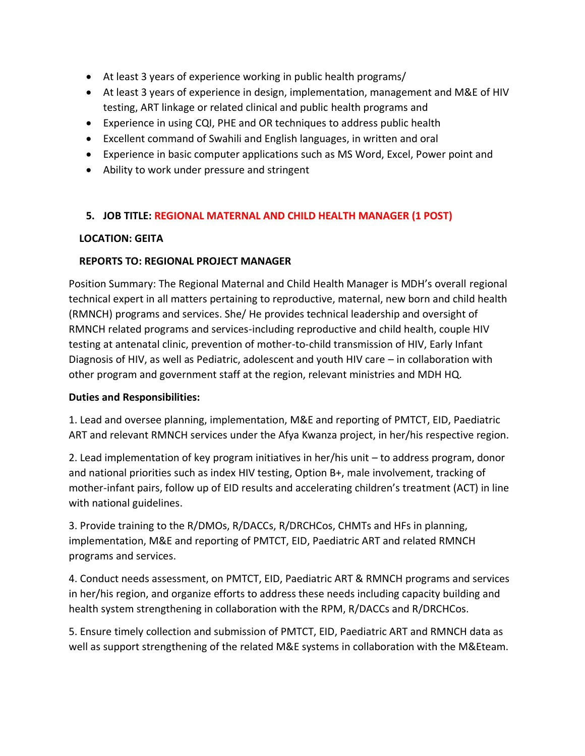- At least 3 years of experience working in public health programs/
- At least 3 years of experience in design, implementation, management and M&E of HIV testing, ART linkage or related clinical and public health programs and
- Experience in using CQI, PHE and OR techniques to address public health
- Excellent command of Swahili and English languages, in written and oral
- Experience in basic computer applications such as MS Word, Excel, Power point and
- Ability to work under pressure and stringent

## **5. JOB TITLE: REGIONAL MATERNAL AND CHILD HEALTH MANAGER (1 POST)**

### **LOCATION: GEITA**

### **REPORTS TO: REGIONAL PROJECT MANAGER**

Position Summary: The Regional Maternal and Child Health Manager is MDH's overall regional technical expert in all matters pertaining to reproductive, maternal, new born and child health (RMNCH) programs and services. She/ He provides technical leadership and oversight of RMNCH related programs and services-including reproductive and child health, couple HIV testing at antenatal clinic, prevention of mother-to-child transmission of HIV, Early Infant Diagnosis of HIV, as well as Pediatric, adolescent and youth HIV care – in collaboration with other program and government staff at the region, relevant ministries and MDH HQ.

#### **Duties and Responsibilities:**

1. Lead and oversee planning, implementation, M&E and reporting of PMTCT, EID, Paediatric ART and relevant RMNCH services under the Afya Kwanza project, in her/his respective region.

2. Lead implementation of key program initiatives in her/his unit – to address program, donor and national priorities such as index HIV testing, Option B+, male involvement, tracking of mother-infant pairs, follow up of EID results and accelerating children's treatment (ACT) in line with national guidelines.

3. Provide training to the R/DMOs, R/DACCs, R/DRCHCos, CHMTs and HFs in planning, implementation, M&E and reporting of PMTCT, EID, Paediatric ART and related RMNCH programs and services.

4. Conduct needs assessment, on PMTCT, EID, Paediatric ART & RMNCH programs and services in her/his region, and organize efforts to address these needs including capacity building and health system strengthening in collaboration with the RPM, R/DACCs and R/DRCHCos.

5. Ensure timely collection and submission of PMTCT, EID, Paediatric ART and RMNCH data as well as support strengthening of the related M&E systems in collaboration with the M&Eteam.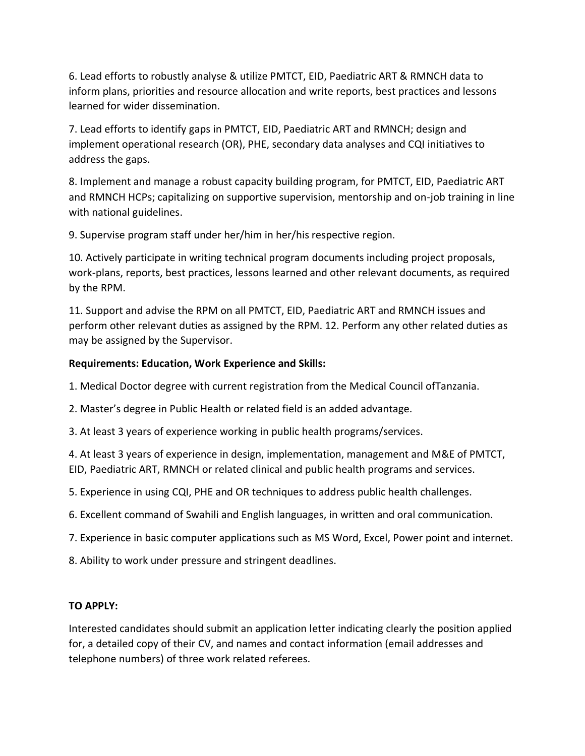6. Lead efforts to robustly analyse & utilize PMTCT, EID, Paediatric ART & RMNCH data to inform plans, priorities and resource allocation and write reports, best practices and lessons learned for wider dissemination.

7. Lead efforts to identify gaps in PMTCT, EID, Paediatric ART and RMNCH; design and implement operational research (OR), PHE, secondary data analyses and CQI initiatives to address the gaps.

8. Implement and manage a robust capacity building program, for PMTCT, EID, Paediatric ART and RMNCH HCPs; capitalizing on supportive supervision, mentorship and on-job training in line with national guidelines.

9. Supervise program staff under her/him in her/his respective region.

10. Actively participate in writing technical program documents including project proposals, work-plans, reports, best practices, lessons learned and other relevant documents, as required by the RPM.

11. Support and advise the RPM on all PMTCT, EID, Paediatric ART and RMNCH issues and perform other relevant duties as assigned by the RPM. 12. Perform any other related duties as may be assigned by the Supervisor.

## **Requirements: Education, Work Experience and Skills:**

1. Medical Doctor degree with current registration from the Medical Council ofTanzania.

2. Master's degree in Public Health or related field is an added advantage.

3. At least 3 years of experience working in public health programs/services.

4. At least 3 years of experience in design, implementation, management and M&E of PMTCT, EID, Paediatric ART, RMNCH or related clinical and public health programs and services.

5. Experience in using CQI, PHE and OR techniques to address public health challenges.

6. Excellent command of Swahili and English languages, in written and oral communication.

7. Experience in basic computer applications such as MS Word, Excel, Power point and internet.

8. Ability to work under pressure and stringent deadlines.

## **TO APPLY:**

Interested candidates should submit an application letter indicating clearly the position applied for, a detailed copy of their CV, and names and contact information (email addresses and telephone numbers) of three work related referees.